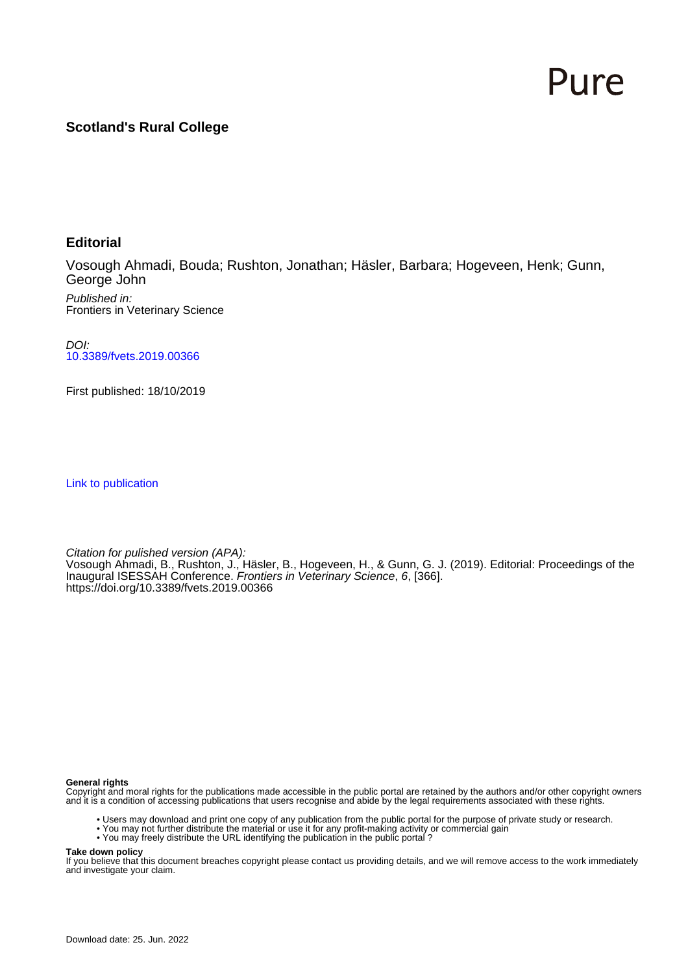# Pure

## **Scotland's Rural College**

### **Editorial**

Vosough Ahmadi, Bouda; Rushton, Jonathan; Häsler, Barbara; Hogeveen, Henk; Gunn, George John

Published in: Frontiers in Veterinary Science

DOI: [10.3389/fvets.2019.00366](https://doi.org/10.3389/fvets.2019.00366)

First published: 18/10/2019

[Link to publication](https://pure.sruc.ac.uk/en/publications/e729d39e-5208-40b4-b358-a5b41af8036e)

Citation for pulished version (APA): Vosough Ahmadi, B., Rushton, J., Häsler, B., Hogeveen, H., & Gunn, G. J. (2019). Editorial: Proceedings of the Inaugural ISESSAH Conference. Frontiers in Veterinary Science, 6, [366]. <https://doi.org/10.3389/fvets.2019.00366>

#### **General rights**

Copyright and moral rights for the publications made accessible in the public portal are retained by the authors and/or other copyright owners and it is a condition of accessing publications that users recognise and abide by the legal requirements associated with these rights.

- Users may download and print one copy of any publication from the public portal for the purpose of private study or research.
- You may not further distribute the material or use it for any profit-making activity or commercial gain
- You may freely distribute the URL identifying the publication in the public portal ?

#### **Take down policy**

If you believe that this document breaches copyright please contact us providing details, and we will remove access to the work immediately and investigate your claim.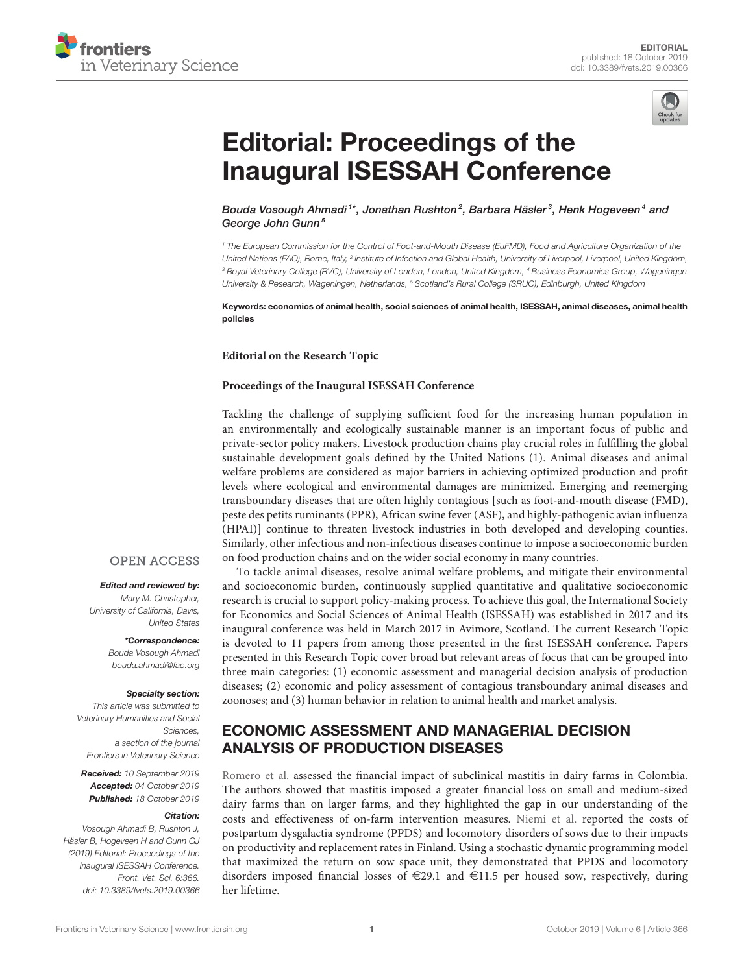



## Editorial: Proceedings of the [Inaugural ISESSAH Conference](https://www.frontiersin.org/articles/10.3389/fvets.2019.00366/full)

[Bouda Vosough Ahmadi](http://loop.frontiersin.org/people/156655/overview) <sup>1</sup>\*, [Jonathan Rushton](http://loop.frontiersin.org/people/342403/overview)<sup>2</sup>, Barbara Häsler<sup>3</sup>, [Henk Hogeveen](http://loop.frontiersin.org/people/405557/overview)<sup>4</sup> and [George John Gunn](http://loop.frontiersin.org/people/394353/overview)<sup>5</sup>

<sup>1</sup> The European Commission for the Control of Foot-and-Mouth Disease (EuFMD), Food and Agriculture Organization of the United Nations (FAO), Rome, Italy, <sup>2</sup> Institute of Infection and Global Health, University of Liverpool, Liverpool, United Kingdom, <sup>3</sup> Royal Veterinary College (RVC), University of London, London, United Kingdom, <sup>4</sup> Business Economics Group, Wageningen University & Research, Wageningen, Netherlands, <sup>5</sup> Scotland's Rural College (SRUC), Edinburgh, United Kingdom

Keywords: economics of animal health, social sciences of animal health, ISESSAH, animal diseases, animal health policies

#### **Editorial on the Research Topic**

#### **[Proceedings of the Inaugural ISESSAH Conference](https://www.frontiersin.org/research-topics/5522/proceedings-of-the-inaugural-isessah-conference)**

Tackling the challenge of supplying sufficient food for the increasing human population in an environmentally and ecologically sustainable manner is an important focus of public and private-sector policy makers. Livestock production chains play crucial roles in fulfilling the global sustainable development goals defined by the United Nations [\(1\)](#page-3-0). Animal diseases and animal welfare problems are considered as major barriers in achieving optimized production and profit levels where ecological and environmental damages are minimized. Emerging and reemerging transboundary diseases that are often highly contagious [such as foot-and-mouth disease (FMD), peste des petits ruminants (PPR), African swine fever (ASF), and highly-pathogenic avian influenza (HPAI)] continue to threaten livestock industries in both developed and developing counties. Similarly, other infectious and non-infectious diseases continue to impose a socioeconomic burden on food production chains and on the wider social economy in many countries.

**OPEN ACCESS** 

#### Edited and reviewed by:

Mary M. Christopher, University of California, Davis, United States

\*Correspondence:

Bouda Vosough Ahmadi [bouda.ahmadi@fao.org](mailto:bouda.ahmadi@fao.org)

#### Specialty section:

This article was submitted to Veterinary Humanities and Social Sciences, a section of the journal Frontiers in Veterinary Science

Received: 10 September 2019 Accepted: 04 October 2019 Published: 18 October 2019

#### Citation:

Vosough Ahmadi B, Rushton J, Häsler B, Hogeveen H and Gunn GJ (2019) Editorial: Proceedings of the Inaugural ISESSAH Conference. Front. Vet. Sci. 6:366. doi: [10.3389/fvets.2019.00366](https://doi.org/10.3389/fvets.2019.00366)

To tackle animal diseases, resolve animal welfare problems, and mitigate their environmental and socioeconomic burden, continuously supplied quantitative and qualitative socioeconomic research is crucial to support policy-making process. To achieve this goal, the International Society for Economics and Social Sciences of Animal Health (ISESSAH) was established in 2017 and its inaugural conference was held in March 2017 in Avimore, Scotland. The current Research Topic is devoted to 11 papers from among those presented in the first ISESSAH conference. Papers presented in this Research Topic cover broad but relevant areas of focus that can be grouped into three main categories: (1) economic assessment and managerial decision analysis of production diseases; (2) economic and policy assessment of contagious transboundary animal diseases and zoonoses; and (3) human behavior in relation to animal health and market analysis.

## ECONOMIC ASSESSMENT AND MANAGERIAL DECISION ANALYSIS OF PRODUCTION DISEASES

[Romero et al.](https://doi.org/10.3389/fvets.2018.00273) assessed the financial impact of subclinical mastitis in dairy farms in Colombia. The authors showed that mastitis imposed a greater financial loss on small and medium-sized dairy farms than on larger farms, and they highlighted the gap in our understanding of the costs and effectiveness of on-farm intervention measures. [Niemi et al.](https://doi.org/10.3389/fvets.2017.00181) reported the costs of postpartum dysgalactia syndrome (PPDS) and locomotory disorders of sows due to their impacts on productivity and replacement rates in Finland. Using a stochastic dynamic programming model that maximized the return on sow space unit, they demonstrated that PPDS and locomotory disorders imposed financial losses of  $\in 29.1$  and  $\in 11.5$  per housed sow, respectively, during her lifetime.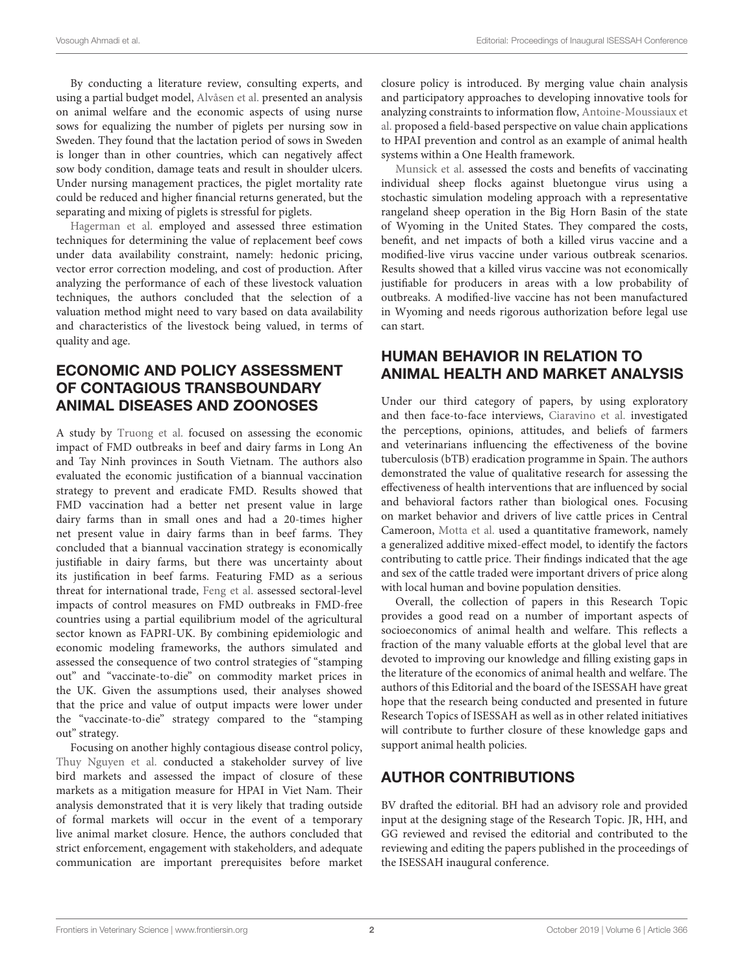By conducting a literature review, consulting experts, and using a partial budget model, [Alvåsen et al.](https://doi.org/10.3389/fvets.2017.00204) presented an analysis on animal welfare and the economic aspects of using nurse sows for equalizing the number of piglets per nursing sow in Sweden. They found that the lactation period of sows in Sweden is longer than in other countries, which can negatively affect sow body condition, damage teats and result in shoulder ulcers. Under nursing management practices, the piglet mortality rate could be reduced and higher financial returns generated, but the separating and mixing of piglets is stressful for piglets.

[Hagerman et al.](https://doi.org/10.3389/fvets.2017.00185) employed and assessed three estimation techniques for determining the value of replacement beef cows under data availability constraint, namely: hedonic pricing, vector error correction modeling, and cost of production. After analyzing the performance of each of these livestock valuation techniques, the authors concluded that the selection of a valuation method might need to vary based on data availability and characteristics of the livestock being valued, in terms of quality and age.

## ECONOMIC AND POLICY ASSESSMENT OF CONTAGIOUS TRANSBOUNDARY ANIMAL DISEASES AND ZOONOSES

A study by [Truong et al.](https://doi.org/10.3389/fvets.2018.00026) focused on assessing the economic impact of FMD outbreaks in beef and dairy farms in Long An and Tay Ninh provinces in South Vietnam. The authors also evaluated the economic justification of a biannual vaccination strategy to prevent and eradicate FMD. Results showed that FMD vaccination had a better net present value in large dairy farms than in small ones and had a 20-times higher net present value in dairy farms than in beef farms. They concluded that a biannual vaccination strategy is economically justifiable in dairy farms, but there was uncertainty about its justification in beef farms. Featuring FMD as a serious threat for international trade, [Feng et al.](https://doi.org/10.3389/fvets.2017.00129) assessed sectoral-level impacts of control measures on FMD outbreaks in FMD-free countries using a partial equilibrium model of the agricultural sector known as FAPRI-UK. By combining epidemiologic and economic modeling frameworks, the authors simulated and assessed the consequence of two control strategies of "stamping out" and "vaccinate-to-die" on commodity market prices in the UK. Given the assumptions used, their analyses showed that the price and value of output impacts were lower under the "vaccinate-to-die" strategy compared to the "stamping out" strategy.

Focusing on another highly contagious disease control policy, [Thuy Nguyen et al.](https://doi.org/10.3389/fvets.2017.00136) conducted a stakeholder survey of live bird markets and assessed the impact of closure of these markets as a mitigation measure for HPAI in Viet Nam. Their analysis demonstrated that it is very likely that trading outside of formal markets will occur in the event of a temporary live animal market closure. Hence, the authors concluded that strict enforcement, engagement with stakeholders, and adequate communication are important prerequisites before market closure policy is introduced. By merging value chain analysis and participatory approaches to developing innovative tools for analyzing constraints to information flow, Antoine-Moussiaux et al. [proposed a field-based perspective on value chain applications](https://doi.org/10.3389/fvets.2017.00206) to HPAI prevention and control as an example of animal health systems within a One Health framework.

[Munsick et al.](https://doi.org/10.3389/fvets.2017.00166) assessed the costs and benefits of vaccinating individual sheep flocks against bluetongue virus using a stochastic simulation modeling approach with a representative rangeland sheep operation in the Big Horn Basin of the state of Wyoming in the United States. They compared the costs, benefit, and net impacts of both a killed virus vaccine and a modified-live virus vaccine under various outbreak scenarios. Results showed that a killed virus vaccine was not economically justifiable for producers in areas with a low probability of outbreaks. A modified-live vaccine has not been manufactured in Wyoming and needs rigorous authorization before legal use can start.

## HUMAN BEHAVIOR IN RELATION TO ANIMAL HEALTH AND MARKET ANALYSIS

Under our third category of papers, by using exploratory and then face-to-face interviews, [Ciaravino et al.](https://doi.org/10.3389/fvets.2017.00202) investigated the perceptions, opinions, attitudes, and beliefs of farmers and veterinarians influencing the effectiveness of the bovine tuberculosis (bTB) eradication programme in Spain. The authors demonstrated the value of qualitative research for assessing the effectiveness of health interventions that are influenced by social and behavioral factors rather than biological ones. Focusing on market behavior and drivers of live cattle prices in Central Cameroon, [Motta et al.](https://doi.org/10.3389/fvets.2017.00244) used a quantitative framework, namely a generalized additive mixed-effect model, to identify the factors contributing to cattle price. Their findings indicated that the age and sex of the cattle traded were important drivers of price along with local human and bovine population densities.

Overall, the collection of papers in this Research Topic provides a good read on a number of important aspects of socioeconomics of animal health and welfare. This reflects a fraction of the many valuable efforts at the global level that are devoted to improving our knowledge and filling existing gaps in the literature of the economics of animal health and welfare. The authors of this Editorial and the board of the ISESSAH have great hope that the research being conducted and presented in future Research Topics of ISESSAH as well as in other related initiatives will contribute to further closure of these knowledge gaps and support animal health policies.

## AUTHOR CONTRIBUTIONS

BV drafted the editorial. BH had an advisory role and provided input at the designing stage of the Research Topic. JR, HH, and GG reviewed and revised the editorial and contributed to the reviewing and editing the papers published in the proceedings of the ISESSAH inaugural conference.